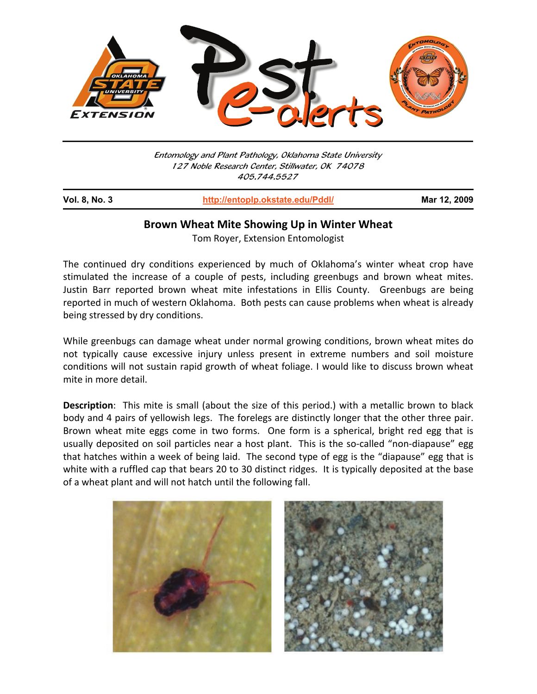

Entomology and Plant Pathology, Oklahoma State University 127 Noble Research Center, Stillwater, OK 74078 405.744.5527

**Vol. 8, No. 3 http://entoplp.okstate.edu/Pddl/ Mar 12, 2009** j

## **Brown Wheat Mite Showing Up in Winter Wheat**

Tom Royer, Extension Entomologist

The continued dry conditions experienced by much of Oklahoma's winter wheat crop have stimulated the increase of a couple of pests, including greenbugs and brown wheat mites. Justin Barr reported brown wheat mite infestations in Ellis County. Greenbugs are being reported in much of western Oklahoma. Both pests can cause problems when wheat is already being stressed by dry conditions.

While greenbugs can damage wheat under normal growing conditions, brown wheat mites do not typically cause excessive injury unless present in extreme numbers and soil moisture conditions will not sustain rapid growth of wheat foliage. I would like to discuss brown wheat mite in more detail.

**Description**: This mite is small (about the size of this period.) with a metallic brown to black body and 4 pairs of yellowish legs. The forelegs are distinctly longer that the other three pair. Brown wheat mite eggs come in two forms. One form is a spherical, bright red egg that is usually deposited on soil particles near a host plant. This is the so-called "non-diapause" egg that hatches within a week of being laid. The second type of egg is the "diapause" egg that is white with a ruffled cap that bears 20 to 30 distinct ridges. It is typically deposited at the base of a wheat plant and will not hatch until the following fall.

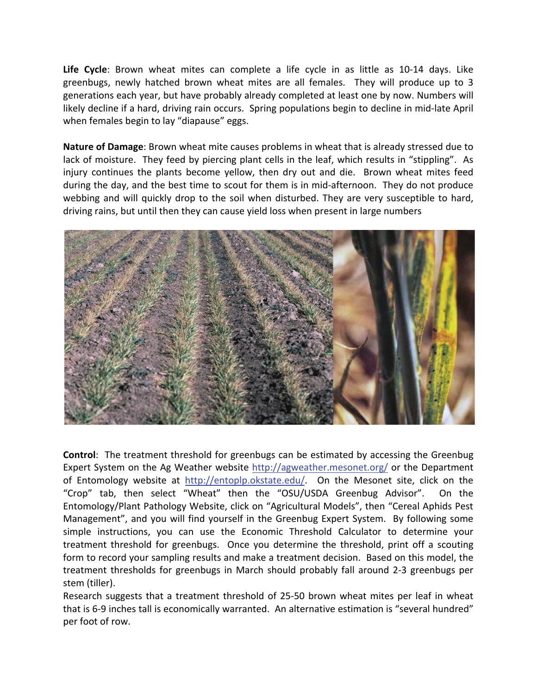**Life Cycle**: Brown wheat mites can complete a life cycle in as little as 10-14 days. Like greenbugs, newly hatched brown wheat mites are all females. They will produce up to 3 generations each year, but have probably already completed at least one by now. Numbers will likely decline if a hard, driving rain occurs. Spring populations begin to decline in mid-late April when females begin to lay "diapause" eggs.

**Nature of Damage**: Brown wheat mite causes problems in wheat that is already stressed due to lack of moisture. They feed by piercing plant cells in the leaf, which results in "stippling". As injury continues the plants become yellow, then dry out and die. Brown wheat mites feed during the day, and the best time to scout for them is in mid-afternoon. They do not produce webbing and will quickly drop to the soil when disturbed. They are very susceptible to hard, driving rains, but until then they can cause yield loss when present in large numbers



**Control**: The treatment threshold for greenbugs can be estimated by accessing the Greenbug Expert System on the Ag Weather website http://agweather.mesonet.org/ or the Department of Entomology website at http://entoplp.okstate.edu/. On the Mesonet site, click on the "Crop" tab, then select "Wheat" then the "OSU/USDA Greenbug Advisor". On the Entomology/Plant Pathology Website, click on "Agricultural Models", then "Cereal Aphids Pest Management", and you will find yourself in the Greenbug Expert System. By following some simple instructions, you can use the Economic Threshold Calculator to determine your treatment threshold for greenbugs. Once you determine the threshold, print off a scouting form to record your sampling results and make a treatment decision. Based on this model, the treatment thresholds for greenbugs in March should probably fall around 2-3 greenbugs per stem (tiller).

Research suggests that a treatment threshold of 25-50 brown wheat mites per leaf in wheat that is 6-9 inches tall is economically warranted. An alternative estimation is "several hundred" per foot of row.